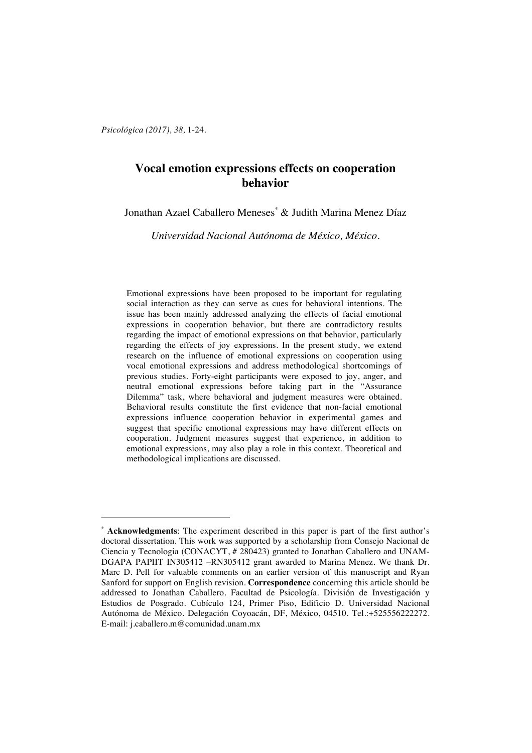*Psicológica (2017), 38,* 1-24.

 $\overline{a}$ 

# **Vocal emotion expressions effects on cooperation behavior**

Jonathan Azael Caballero Meneses\* & Judith Marina Menez Díaz

*Universidad Nacional Autónoma de México, México.*

Emotional expressions have been proposed to be important for regulating social interaction as they can serve as cues for behavioral intentions. The issue has been mainly addressed analyzing the effects of facial emotional expressions in cooperation behavior, but there are contradictory results regarding the impact of emotional expressions on that behavior, particularly regarding the effects of joy expressions. In the present study, we extend research on the influence of emotional expressions on cooperation using vocal emotional expressions and address methodological shortcomings of previous studies. Forty-eight participants were exposed to joy, anger, and neutral emotional expressions before taking part in the "Assurance Dilemma" task, where behavioral and judgment measures were obtained. Behavioral results constitute the first evidence that non-facial emotional expressions influence cooperation behavior in experimental games and suggest that specific emotional expressions may have different effects on cooperation. Judgment measures suggest that experience, in addition to emotional expressions, may also play a role in this context. Theoretical and methodological implications are discussed.

<sup>\*</sup> **Acknowledgments**: The experiment described in this paper is part of the first author's doctoral dissertation. This work was supported by a scholarship from Consejo Nacional de Ciencia y Tecnologia (CONACYT, # 280423) granted to Jonathan Caballero and UNAM-DGAPA PAPIIT IN305412 –RN305412 grant awarded to Marina Menez. We thank Dr. Marc D. Pell for valuable comments on an earlier version of this manuscript and Ryan Sanford for support on English revision. **Correspondence** concerning this article should be addressed to Jonathan Caballero. Facultad de Psicología. División de Investigación y Estudios de Posgrado. Cubículo 124, Primer Piso, Edificio D. Universidad Nacional Autónoma de México. Delegación Coyoacán, DF, México, 04510. Tel.:+525556222272. E-mail: j.caballero.m@comunidad.unam.mx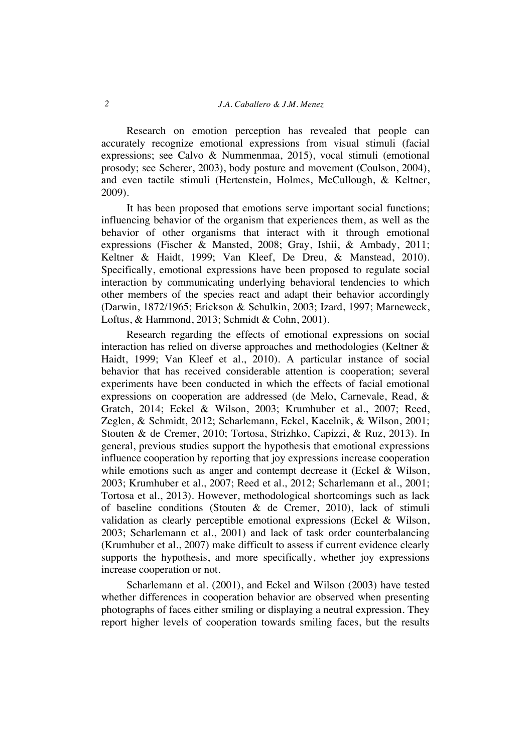Research on emotion perception has revealed that people can accurately recognize emotional expressions from visual stimuli (facial expressions; see Calvo & Nummenmaa, 2015), vocal stimuli (emotional prosody; see Scherer, 2003), body posture and movement (Coulson, 2004), and even tactile stimuli (Hertenstein, Holmes, McCullough, & Keltner, 2009).

It has been proposed that emotions serve important social functions; influencing behavior of the organism that experiences them, as well as the behavior of other organisms that interact with it through emotional expressions (Fischer & Mansted, 2008; Gray, Ishii, & Ambady, 2011; Keltner & Haidt, 1999; Van Kleef, De Dreu, & Manstead, 2010). Specifically, emotional expressions have been proposed to regulate social interaction by communicating underlying behavioral tendencies to which other members of the species react and adapt their behavior accordingly (Darwin, 1872/1965; Erickson & Schulkin, 2003; Izard, 1997; Marneweck, Loftus, & Hammond, 2013; Schmidt & Cohn, 2001).

Research regarding the effects of emotional expressions on social interaction has relied on diverse approaches and methodologies (Keltner & Haidt, 1999; Van Kleef et al., 2010). A particular instance of social behavior that has received considerable attention is cooperation; several experiments have been conducted in which the effects of facial emotional expressions on cooperation are addressed (de Melo, Carnevale, Read, & Gratch, 2014; Eckel & Wilson, 2003; Krumhuber et al., 2007; Reed, Zeglen, & Schmidt, 2012; Scharlemann, Eckel, Kacelnik, & Wilson, 2001; Stouten & de Cremer, 2010; Tortosa, Strizhko, Capizzi, & Ruz, 2013). In general, previous studies support the hypothesis that emotional expressions influence cooperation by reporting that joy expressions increase cooperation while emotions such as anger and contempt decrease it (Eckel & Wilson, 2003; Krumhuber et al., 2007; Reed et al., 2012; Scharlemann et al., 2001; Tortosa et al., 2013). However, methodological shortcomings such as lack of baseline conditions (Stouten & de Cremer, 2010), lack of stimuli validation as clearly perceptible emotional expressions (Eckel & Wilson, 2003; Scharlemann et al., 2001) and lack of task order counterbalancing (Krumhuber et al., 2007) make difficult to assess if current evidence clearly supports the hypothesis, and more specifically, whether joy expressions increase cooperation or not.

Scharlemann et al. (2001), and Eckel and Wilson (2003) have tested whether differences in cooperation behavior are observed when presenting photographs of faces either smiling or displaying a neutral expression. They report higher levels of cooperation towards smiling faces, but the results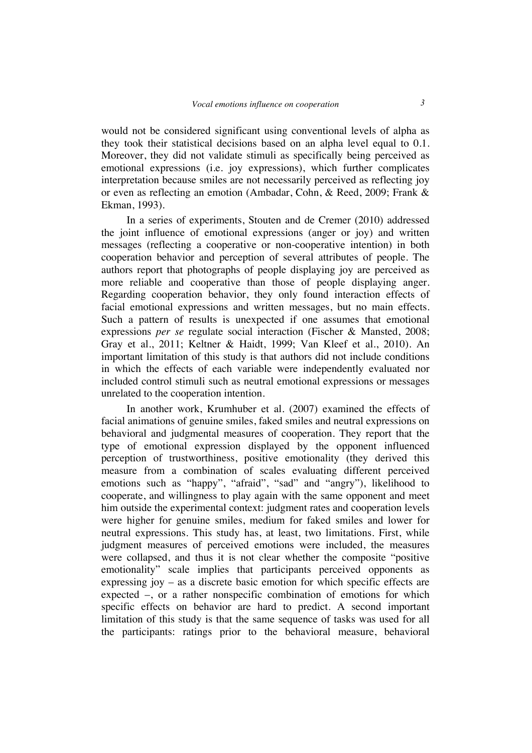would not be considered significant using conventional levels of alpha as they took their statistical decisions based on an alpha level equal to 0.1. Moreover, they did not validate stimuli as specifically being perceived as emotional expressions (i.e. joy expressions), which further complicates interpretation because smiles are not necessarily perceived as reflecting joy or even as reflecting an emotion (Ambadar, Cohn, & Reed, 2009; Frank & Ekman, 1993).

In a series of experiments, Stouten and de Cremer (2010) addressed the joint influence of emotional expressions (anger or joy) and written messages (reflecting a cooperative or non-cooperative intention) in both cooperation behavior and perception of several attributes of people. The authors report that photographs of people displaying joy are perceived as more reliable and cooperative than those of people displaying anger. Regarding cooperation behavior, they only found interaction effects of facial emotional expressions and written messages, but no main effects. Such a pattern of results is unexpected if one assumes that emotional expressions *per se* regulate social interaction (Fischer & Mansted, 2008; Gray et al., 2011; Keltner & Haidt, 1999; Van Kleef et al., 2010). An important limitation of this study is that authors did not include conditions in which the effects of each variable were independently evaluated nor included control stimuli such as neutral emotional expressions or messages unrelated to the cooperation intention.

In another work, Krumhuber et al. (2007) examined the effects of facial animations of genuine smiles, faked smiles and neutral expressions on behavioral and judgmental measures of cooperation. They report that the type of emotional expression displayed by the opponent influenced perception of trustworthiness, positive emotionality (they derived this measure from a combination of scales evaluating different perceived emotions such as "happy", "afraid", "sad" and "angry"), likelihood to cooperate, and willingness to play again with the same opponent and meet him outside the experimental context: judgment rates and cooperation levels were higher for genuine smiles, medium for faked smiles and lower for neutral expressions. This study has, at least, two limitations. First, while judgment measures of perceived emotions were included, the measures were collapsed, and thus it is not clear whether the composite "positive emotionality" scale implies that participants perceived opponents as expressing joy – as a discrete basic emotion for which specific effects are expected –, or a rather nonspecific combination of emotions for which specific effects on behavior are hard to predict. A second important limitation of this study is that the same sequence of tasks was used for all the participants: ratings prior to the behavioral measure, behavioral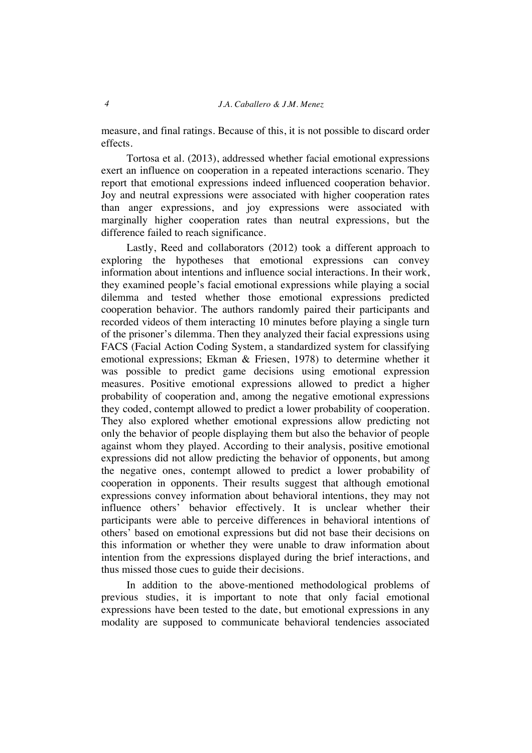measure, and final ratings. Because of this, it is not possible to discard order effects.

Tortosa et al. (2013), addressed whether facial emotional expressions exert an influence on cooperation in a repeated interactions scenario. They report that emotional expressions indeed influenced cooperation behavior. Joy and neutral expressions were associated with higher cooperation rates than anger expressions, and joy expressions were associated with marginally higher cooperation rates than neutral expressions, but the difference failed to reach significance.

Lastly, Reed and collaborators (2012) took a different approach to exploring the hypotheses that emotional expressions can convey information about intentions and influence social interactions. In their work, they examined people's facial emotional expressions while playing a social dilemma and tested whether those emotional expressions predicted cooperation behavior. The authors randomly paired their participants and recorded videos of them interacting 10 minutes before playing a single turn of the prisoner's dilemma. Then they analyzed their facial expressions using FACS (Facial Action Coding System, a standardized system for classifying emotional expressions; Ekman & Friesen, 1978) to determine whether it was possible to predict game decisions using emotional expression measures. Positive emotional expressions allowed to predict a higher probability of cooperation and, among the negative emotional expressions they coded, contempt allowed to predict a lower probability of cooperation. They also explored whether emotional expressions allow predicting not only the behavior of people displaying them but also the behavior of people against whom they played. According to their analysis, positive emotional expressions did not allow predicting the behavior of opponents, but among the negative ones, contempt allowed to predict a lower probability of cooperation in opponents. Their results suggest that although emotional expressions convey information about behavioral intentions, they may not influence others' behavior effectively. It is unclear whether their participants were able to perceive differences in behavioral intentions of others' based on emotional expressions but did not base their decisions on this information or whether they were unable to draw information about intention from the expressions displayed during the brief interactions, and thus missed those cues to guide their decisions.

In addition to the above-mentioned methodological problems of previous studies, it is important to note that only facial emotional expressions have been tested to the date, but emotional expressions in any modality are supposed to communicate behavioral tendencies associated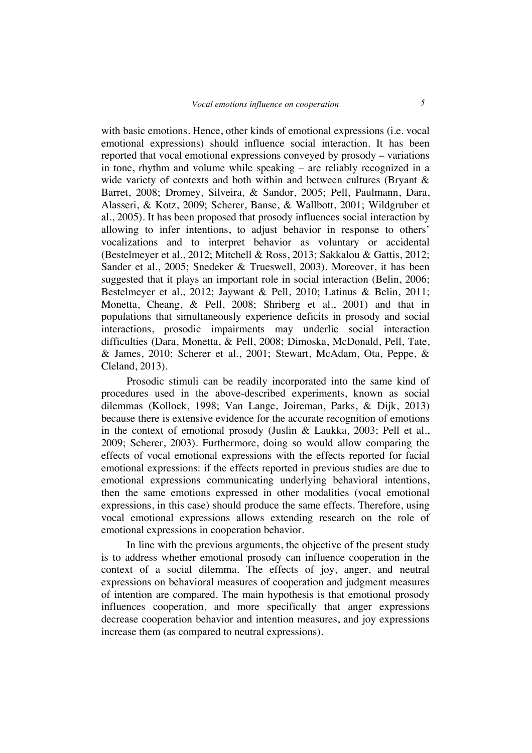with basic emotions. Hence, other kinds of emotional expressions (i.e. vocal emotional expressions) should influence social interaction. It has been reported that vocal emotional expressions conveyed by prosody – variations in tone, rhythm and volume while speaking – are reliably recognized in a wide variety of contexts and both within and between cultures (Bryant & Barret, 2008; Dromey, Silveira, & Sandor, 2005; Pell, Paulmann, Dara, Alasseri, & Kotz, 2009; Scherer, Banse, & Wallbott, 2001; Wildgruber et al., 2005). It has been proposed that prosody influences social interaction by allowing to infer intentions, to adjust behavior in response to others' vocalizations and to interpret behavior as voluntary or accidental (Bestelmeyer et al., 2012; Mitchell & Ross, 2013; Sakkalou & Gattis, 2012; Sander et al., 2005; Snedeker & Trueswell, 2003). Moreover, it has been suggested that it plays an important role in social interaction (Belin, 2006; Bestelmeyer et al., 2012; Jaywant & Pell, 2010; Latinus & Belin, 2011; Monetta, Cheang, & Pell, 2008; Shriberg et al., 2001) and that in populations that simultaneously experience deficits in prosody and social interactions, prosodic impairments may underlie social interaction difficulties (Dara, Monetta, & Pell, 2008; Dimoska, McDonald, Pell, Tate, & James, 2010; Scherer et al., 2001; Stewart, McAdam, Ota, Peppe, & Cleland, 2013).

Prosodic stimuli can be readily incorporated into the same kind of procedures used in the above-described experiments, known as social dilemmas (Kollock, 1998; Van Lange, Joireman, Parks, & Dijk, 2013) because there is extensive evidence for the accurate recognition of emotions in the context of emotional prosody (Juslin & Laukka, 2003; Pell et al., 2009; Scherer, 2003). Furthermore, doing so would allow comparing the effects of vocal emotional expressions with the effects reported for facial emotional expressions: if the effects reported in previous studies are due to emotional expressions communicating underlying behavioral intentions, then the same emotions expressed in other modalities (vocal emotional expressions, in this case) should produce the same effects. Therefore, using vocal emotional expressions allows extending research on the role of emotional expressions in cooperation behavior.

In line with the previous arguments, the objective of the present study is to address whether emotional prosody can influence cooperation in the context of a social dilemma. The effects of joy, anger, and neutral expressions on behavioral measures of cooperation and judgment measures of intention are compared. The main hypothesis is that emotional prosody influences cooperation, and more specifically that anger expressions decrease cooperation behavior and intention measures, and joy expressions increase them (as compared to neutral expressions).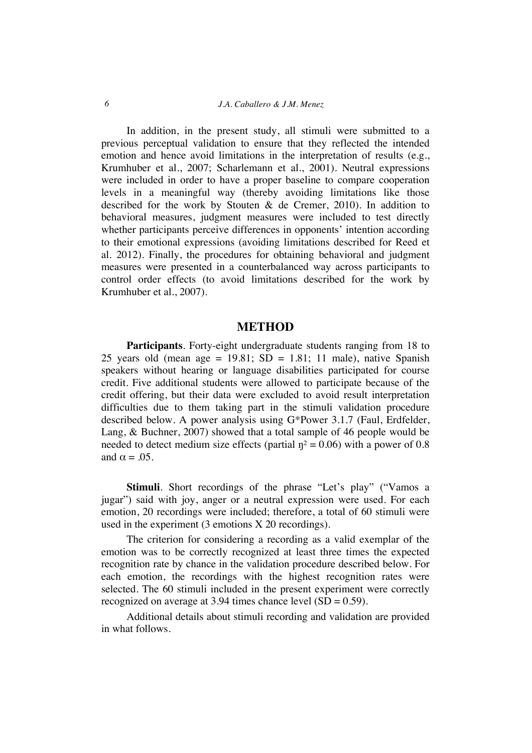### *6 J.A. Caballero & J.M. Menez*

In addition, in the present study, all stimuli were submitted to a previous perceptual validation to ensure that they reflected the intended emotion and hence avoid limitations in the interpretation of results (e.g., Krumhuber et al., 2007; Scharlemann et al., 2001). Neutral expressions were included in order to have a proper baseline to compare cooperation levels in a meaningful way (thereby avoiding limitations like those described for the work by Stouten & de Cremer, 2010). In addition to behavioral measures, judgment measures were included to test directly whether participants perceive differences in opponents' intention according to their emotional expressions (avoiding limitations described for Reed et al. 2012). Finally, the procedures for obtaining behavioral and judgment measures were presented in a counterbalanced way across participants to control order effects (to avoid limitations described for the work by Krumhuber et al., 2007).

# **METHOD**

**Participants**. Forty-eight undergraduate students ranging from 18 to 25 years old (mean age =  $19.81$ ; SD =  $1.81$ ; 11 male), native Spanish speakers without hearing or language disabilities participated for course credit. Five additional students were allowed to participate because of the credit offering, but their data were excluded to avoid result interpretation difficulties due to them taking part in the stimuli validation procedure described below. A power analysis using G\*Power 3.1.7 (Faul, Erdfelder, Lang, & Buchner, 2007) showed that a total sample of 46 people would be needed to detect medium size effects (partial  $\eta$ <sup>2</sup> = 0.06) with a power of 0.8 and  $\alpha = .05$ .

**Stimuli**. Short recordings of the phrase "Let's play" ("Vamos a jugar") said with joy, anger or a neutral expression were used. For each emotion, 20 recordings were included; therefore, a total of 60 stimuli were used in the experiment (3 emotions X 20 recordings).

The criterion for considering a recording as a valid exemplar of the emotion was to be correctly recognized at least three times the expected recognition rate by chance in the validation procedure described below. For each emotion, the recordings with the highest recognition rates were selected. The 60 stimuli included in the present experiment were correctly recognized on average at 3.94 times chance level  $(SD = 0.59)$ .

Additional details about stimuli recording and validation are provided in what follows.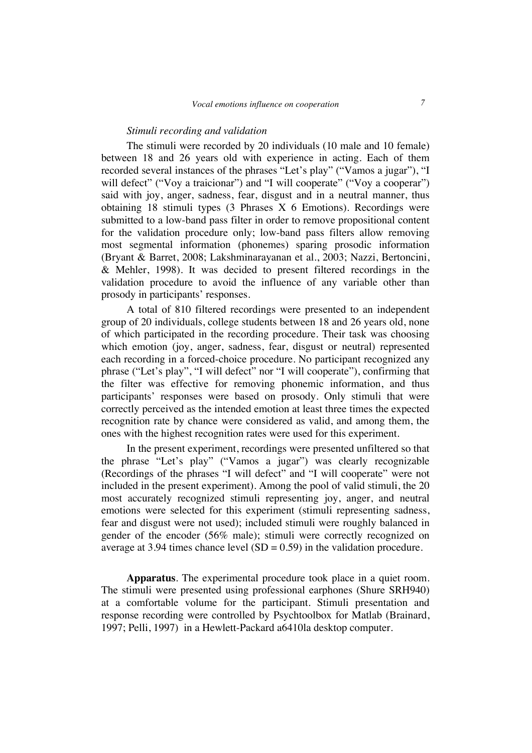#### *Stimuli recording and validation*

The stimuli were recorded by 20 individuals (10 male and 10 female) between 18 and 26 years old with experience in acting. Each of them recorded several instances of the phrases "Let's play" ("Vamos a jugar"), "I will defect" ("Voy a traicionar") and "I will cooperate" ("Voy a cooperar") said with joy, anger, sadness, fear, disgust and in a neutral manner, thus obtaining 18 stimuli types (3 Phrases X 6 Emotions). Recordings were submitted to a low-band pass filter in order to remove propositional content for the validation procedure only; low-band pass filters allow removing most segmental information (phonemes) sparing prosodic information (Bryant & Barret, 2008; Lakshminarayanan et al., 2003; Nazzi, Bertoncini, & Mehler, 1998). It was decided to present filtered recordings in the validation procedure to avoid the influence of any variable other than prosody in participants' responses.

A total of 810 filtered recordings were presented to an independent group of 20 individuals, college students between 18 and 26 years old, none of which participated in the recording procedure. Their task was choosing which emotion (joy, anger, sadness, fear, disgust or neutral) represented each recording in a forced-choice procedure. No participant recognized any phrase ("Let's play", "I will defect" nor "I will cooperate"), confirming that the filter was effective for removing phonemic information, and thus participants' responses were based on prosody. Only stimuli that were correctly perceived as the intended emotion at least three times the expected recognition rate by chance were considered as valid, and among them, the ones with the highest recognition rates were used for this experiment.

In the present experiment, recordings were presented unfiltered so that the phrase "Let's play" ("Vamos a jugar") was clearly recognizable (Recordings of the phrases "I will defect" and "I will cooperate" were not included in the present experiment). Among the pool of valid stimuli, the 20 most accurately recognized stimuli representing joy, anger, and neutral emotions were selected for this experiment (stimuli representing sadness, fear and disgust were not used); included stimuli were roughly balanced in gender of the encoder (56% male); stimuli were correctly recognized on average at 3.94 times chance level  $(SD = 0.59)$  in the validation procedure.

**Apparatus**. The experimental procedure took place in a quiet room. The stimuli were presented using professional earphones (Shure SRH940) at a comfortable volume for the participant. Stimuli presentation and response recording were controlled by Psychtoolbox for Matlab (Brainard, 1997; Pelli, 1997) in a Hewlett-Packard a6410la desktop computer.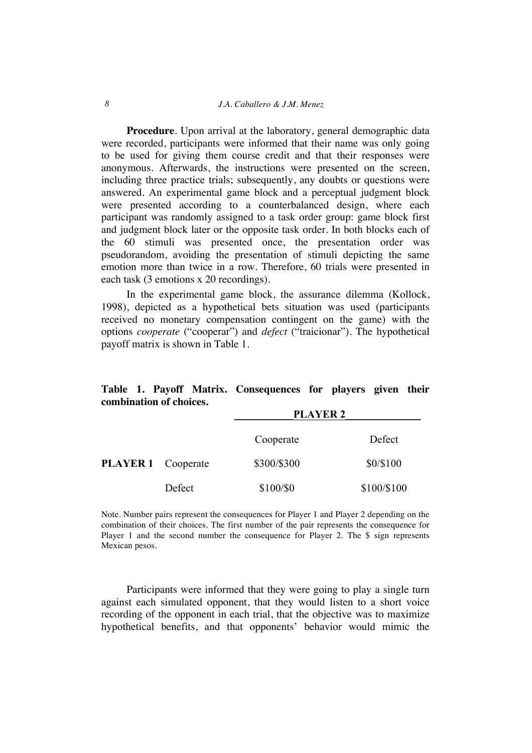#### *8 J.A. Caballero & J.M. Menez*

**Procedure**. Upon arrival at the laboratory, general demographic data were recorded, participants were informed that their name was only going to be used for giving them course credit and that their responses were anonymous. Afterwards, the instructions were presented on the screen, including three practice trials; subsequently, any doubts or questions were answered. An experimental game block and a perceptual judgment block were presented according to a counterbalanced design, where each participant was randomly assigned to a task order group: game block first and judgment block later or the opposite task order. In both blocks each of the 60 stimuli was presented once, the presentation order was pseudorandom, avoiding the presentation of stimuli depicting the same emotion more than twice in a row. Therefore, 60 trials were presented in each task (3 emotions x 20 recordings).

In the experimental game block, the assurance dilemma (Kollock, 1998), depicted as a hypothetical bets situation was used (participants received no monetary compensation contingent on the game) with the options *cooperate* ("cooperar") and *defect* ("traicionar"). The hypothetical payoff matrix is shown in Table 1.

| Component of Choices      |        | <b>PLAYER 2</b> |             |
|---------------------------|--------|-----------------|-------------|
|                           |        | Cooperate       | Defect      |
| <b>PLAYER 1</b> Cooperate |        | \$300/\$300     | \$0/\$100   |
|                           | Defect | \$100/\$0       | \$100/\$100 |

**Table 1. Payoff Matrix. Consequences for players given their combination of choices.**

Note. Number pairs represent the consequences for Player 1 and Player 2 depending on the combination of their choices. The first number of the pair represents the consequence for Player 1 and the second number the consequence for Player 2. The \$ sign represents Mexican pesos.

Participants were informed that they were going to play a single turn against each simulated opponent, that they would listen to a short voice recording of the opponent in each trial, that the objective was to maximize hypothetical benefits, and that opponents' behavior would mimic the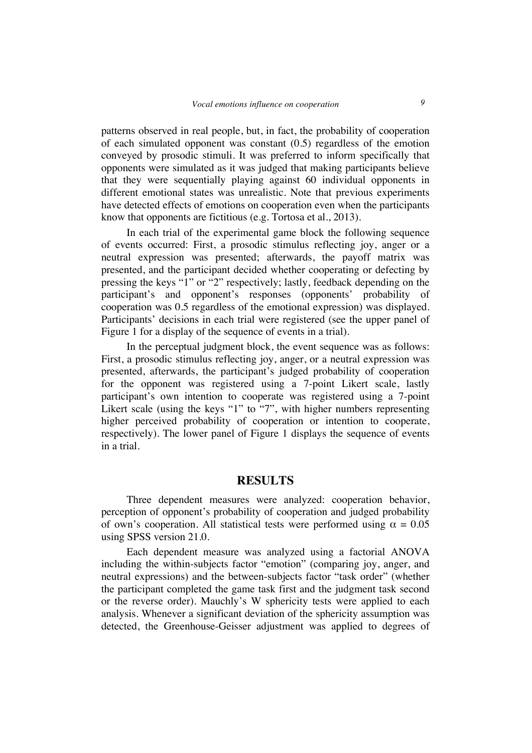patterns observed in real people, but, in fact, the probability of cooperation of each simulated opponent was constant (0.5) regardless of the emotion conveyed by prosodic stimuli. It was preferred to inform specifically that opponents were simulated as it was judged that making participants believe that they were sequentially playing against 60 individual opponents in different emotional states was unrealistic. Note that previous experiments have detected effects of emotions on cooperation even when the participants know that opponents are fictitious (e.g. Tortosa et al., 2013).

In each trial of the experimental game block the following sequence of events occurred: First, a prosodic stimulus reflecting joy, anger or a neutral expression was presented; afterwards, the payoff matrix was presented, and the participant decided whether cooperating or defecting by pressing the keys "1" or "2" respectively; lastly, feedback depending on the participant's and opponent's responses (opponents' probability of cooperation was 0.5 regardless of the emotional expression) was displayed. Participants' decisions in each trial were registered (see the upper panel of Figure 1 for a display of the sequence of events in a trial).

In the perceptual judgment block, the event sequence was as follows: First, a prosodic stimulus reflecting joy, anger, or a neutral expression was presented, afterwards, the participant's judged probability of cooperation for the opponent was registered using a 7-point Likert scale, lastly participant's own intention to cooperate was registered using a 7-point Likert scale (using the keys "1" to "7", with higher numbers representing higher perceived probability of cooperation or intention to cooperate, respectively). The lower panel of Figure 1 displays the sequence of events in a trial.

## **RESULTS**

Three dependent measures were analyzed: cooperation behavior, perception of opponent's probability of cooperation and judged probability of own's cooperation. All statistical tests were performed using  $\alpha = 0.05$ using SPSS version 21.0.

Each dependent measure was analyzed using a factorial ANOVA including the within-subjects factor "emotion" (comparing joy, anger, and neutral expressions) and the between-subjects factor "task order" (whether the participant completed the game task first and the judgment task second or the reverse order). Mauchly's W sphericity tests were applied to each analysis. Whenever a significant deviation of the sphericity assumption was detected, the Greenhouse-Geisser adjustment was applied to degrees of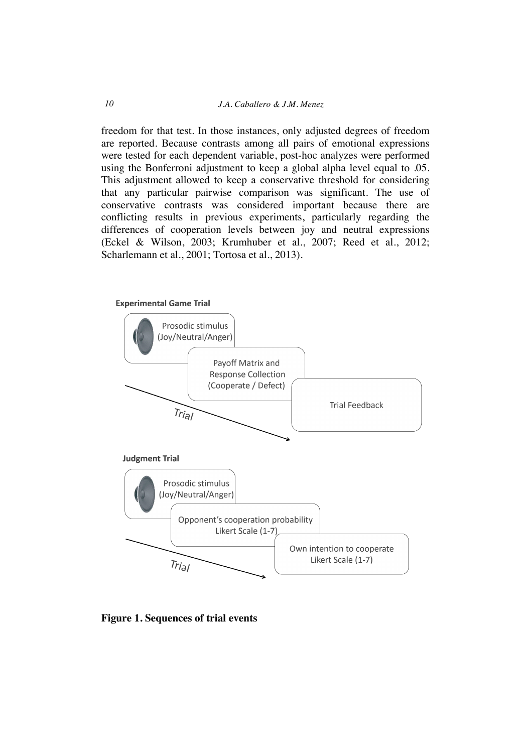freedom for that test. In those instances, only adjusted degrees of freedom are reported. Because contrasts among all pairs of emotional expressions were tested for each dependent variable, post-hoc analyzes were performed using the Bonferroni adjustment to keep a global alpha level equal to .05. This adjustment allowed to keep a conservative threshold for considering that any particular pairwise comparison was significant. The use of conservative contrasts was considered important because there are conflicting results in previous experiments, particularly regarding the differences of cooperation levels between joy and neutral expressions (Eckel & Wilson, 2003; Krumhuber et al., 2007; Reed et al., 2012; Scharlemann et al., 2001; Tortosa et al., 2013).



**Figure 1. Sequences of trial events**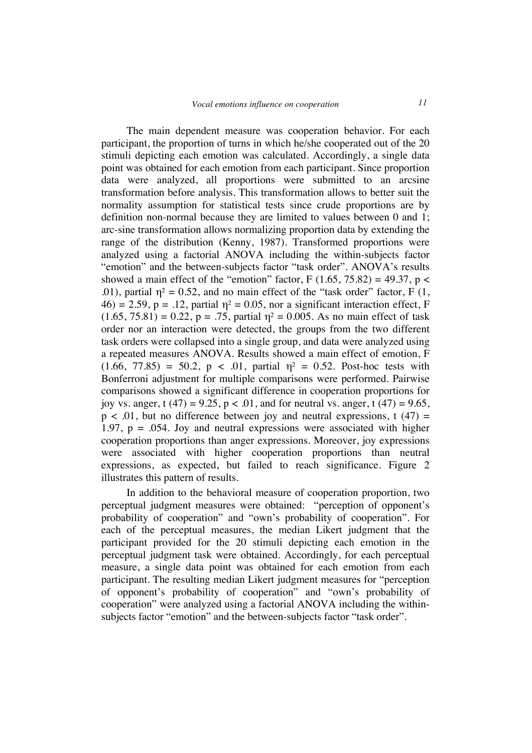The main dependent measure was cooperation behavior. For each participant, the proportion of turns in which he/she cooperated out of the 20 stimuli depicting each emotion was calculated. Accordingly, a single data point was obtained for each emotion from each participant. Since proportion data were analyzed, all proportions were submitted to an arcsine transformation before analysis. This transformation allows to better suit the normality assumption for statistical tests since crude proportions are by definition non-normal because they are limited to values between 0 and 1; arc-sine transformation allows normalizing proportion data by extending the range of the distribution (Kenny, 1987). Transformed proportions were analyzed using a factorial ANOVA including the within-subjects factor "emotion" and the between-subjects factor "task order". ANOVA's results showed a main effect of the "emotion" factor, F  $(1.65, 75.82) = 49.37$ , p < .01), partial  $\eta^2 = 0.52$ , and no main effect of the "task order" factor, F (1,  $46$ ) = 2.59, p = .12, partial  $\eta$ <sup>2</sup> = 0.05, nor a significant interaction effect, F  $(1.65, 75.81) = 0.22$ ,  $p = .75$ , partial  $\eta^2 = 0.005$ . As no main effect of task order nor an interaction were detected, the groups from the two different task orders were collapsed into a single group, and data were analyzed using a repeated measures ANOVA. Results showed a main effect of emotion, F  $(1.66, 77.85) = 50.2, p < .01$ , partial  $\eta^2 = 0.52$ . Post-hoc tests with Bonferroni adjustment for multiple comparisons were performed. Pairwise comparisons showed a significant difference in cooperation proportions for joy vs. anger, t (47) = 9.25, p < .01, and for neutral vs. anger, t (47) = 9.65,  $p < .01$ , but no difference between joy and neutral expressions, t (47) = 1.97,  $p = 0.054$ . Joy and neutral expressions were associated with higher cooperation proportions than anger expressions. Moreover, joy expressions were associated with higher cooperation proportions than neutral expressions, as expected, but failed to reach significance. Figure 2 illustrates this pattern of results.

In addition to the behavioral measure of cooperation proportion, two perceptual judgment measures were obtained: "perception of opponent's probability of cooperation" and "own's probability of cooperation". For each of the perceptual measures, the median Likert judgment that the participant provided for the 20 stimuli depicting each emotion in the perceptual judgment task were obtained. Accordingly, for each perceptual measure, a single data point was obtained for each emotion from each participant. The resulting median Likert judgment measures for "perception of opponent's probability of cooperation" and "own's probability of cooperation" were analyzed using a factorial ANOVA including the withinsubjects factor "emotion" and the between-subjects factor "task order".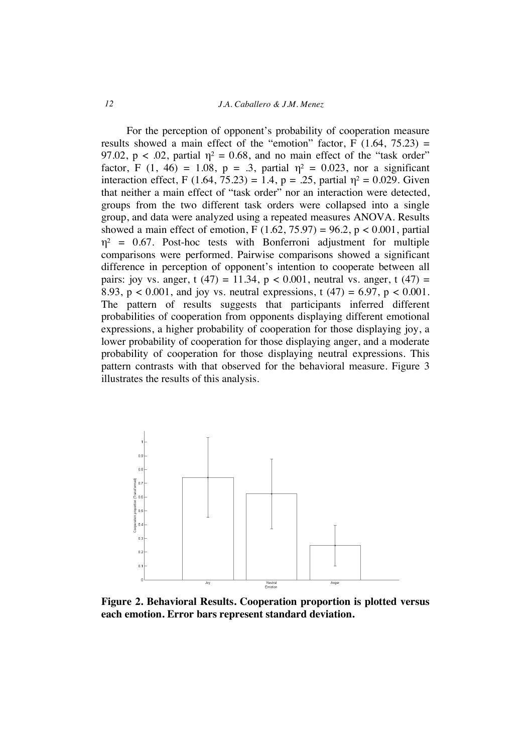For the perception of opponent's probability of cooperation measure results showed a main effect of the "emotion" factor,  $F(1.64, 75.23) =$ 97.02,  $p < .02$ , partial  $\eta^2 = 0.68$ , and no main effect of the "task order" factor, F  $(1, 46) = 1.08$ , p = .3, partial  $\eta^2 = 0.023$ , nor a significant interaction effect, F (1.64, 75.23) = 1.4, p = .25, partial  $\eta^2 = 0.029$ . Given that neither a main effect of "task order" nor an interaction were detected, groups from the two different task orders were collapsed into a single group, and data were analyzed using a repeated measures ANOVA. Results showed a main effect of emotion, F  $(1.62, 75.97) = 96.2$ , p < 0.001, partial  $\eta^2$  = 0.67. Post-hoc tests with Bonferroni adjustment for multiple comparisons were performed. Pairwise comparisons showed a significant difference in perception of opponent's intention to cooperate between all pairs: joy vs. anger, t (47) = 11.34, p < 0.001, neutral vs. anger, t (47) = 8.93,  $p < 0.001$ , and joy vs. neutral expressions, t (47) = 6.97,  $p < 0.001$ . The pattern of results suggests that participants inferred different probabilities of cooperation from opponents displaying different emotional expressions, a higher probability of cooperation for those displaying joy, a lower probability of cooperation for those displaying anger, and a moderate probability of cooperation for those displaying neutral expressions. This pattern contrasts with that observed for the behavioral measure. Figure 3 illustrates the results of this analysis.



**Figure 2. Behavioral Results. Cooperation proportion is plotted versus each emotion. Error bars represent standard deviation.**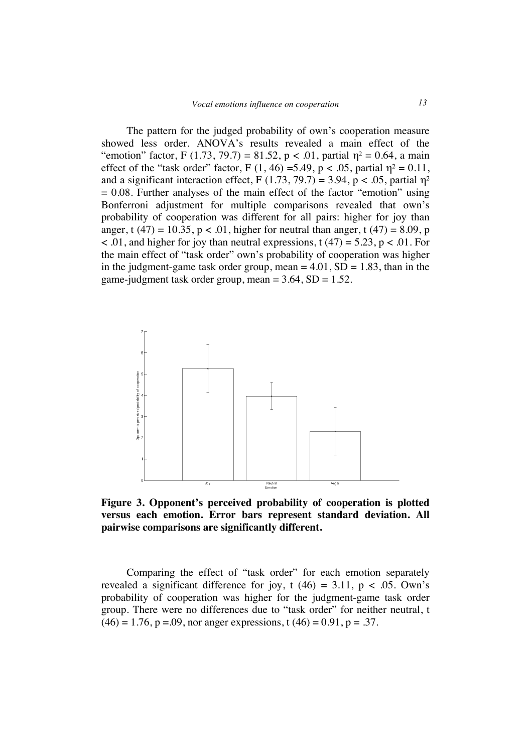The pattern for the judged probability of own's cooperation measure showed less order. ANOVA's results revealed a main effect of the "emotion" factor, F (1.73, 79.7) = 81.52, p < .01, partial  $\eta$ <sup>2</sup> = 0.64, a main effect of the "task order" factor, F (1, 46) =5.49, p < .05, partial  $\eta^2 = 0.11$ , and a significant interaction effect, F  $(1.73, 79.7) = 3.94$ , p < .05, partial  $\eta^2$  $= 0.08$ . Further analyses of the main effect of the factor "emotion" using Bonferroni adjustment for multiple comparisons revealed that own's probability of cooperation was different for all pairs: higher for joy than anger, t (47) = 10.35,  $p < .01$ , higher for neutral than anger, t (47) = 8.09, p  $< .01$ , and higher for joy than neutral expressions, t (47) = 5.23, p  $< .01$ . For the main effect of "task order" own's probability of cooperation was higher in the judgment-game task order group, mean  $= 4.01$ ,  $SD = 1.83$ , than in the game-judgment task order group, mean  $= 3.64$ , SD  $= 1.52$ .



**Figure 3. Opponent's perceived probability of cooperation is plotted versus each emotion. Error bars represent standard deviation. All pairwise comparisons are significantly different.**

Comparing the effect of "task order" for each emotion separately revealed a significant difference for joy, t  $(46) = 3.11$ ,  $p < .05$ . Own's probability of cooperation was higher for the judgment-game task order group. There were no differences due to "task order" for neither neutral, t  $(46) = 1.76$ , p = 0.09, nor anger expressions, t  $(46) = 0.91$ , p = 0.37.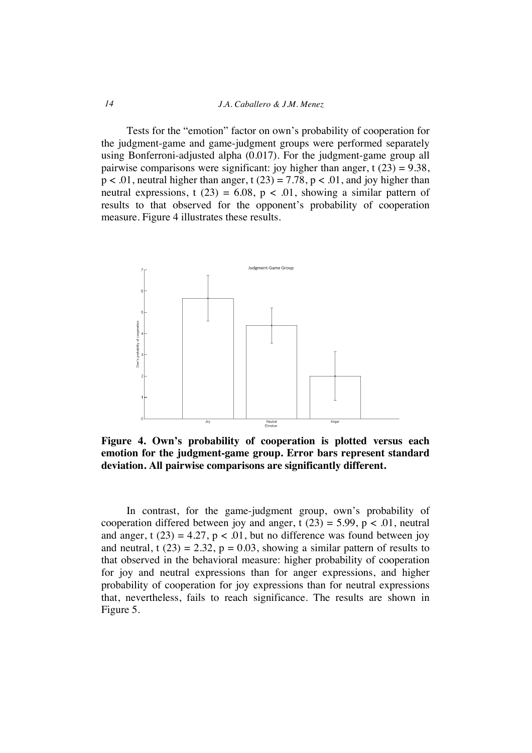Tests for the "emotion" factor on own's probability of cooperation for the judgment-game and game-judgment groups were performed separately using Bonferroni-adjusted alpha (0.017). For the judgment-game group all pairwise comparisons were significant: joy higher than anger, t  $(23) = 9.38$ ,  $p < .01$ , neutral higher than anger, t (23) = 7.78,  $p < .01$ , and joy higher than neutral expressions, t (23) = 6.08, p < .01, showing a similar pattern of results to that observed for the opponent's probability of cooperation measure. Figure 4 illustrates these results.



**Figure 4. Own's probability of cooperation is plotted versus each emotion for the judgment-game group. Error bars represent standard deviation. All pairwise comparisons are significantly different.**

In contrast, for the game-judgment group, own's probability of cooperation differed between joy and anger, t  $(23) = 5.99$ , p < .01, neutral and anger, t (23) = 4.27,  $p < .01$ , but no difference was found between joy and neutral, t  $(23) = 2.32$ ,  $p = 0.03$ , showing a similar pattern of results to that observed in the behavioral measure: higher probability of cooperation for joy and neutral expressions than for anger expressions, and higher probability of cooperation for joy expressions than for neutral expressions that, nevertheless, fails to reach significance. The results are shown in Figure 5.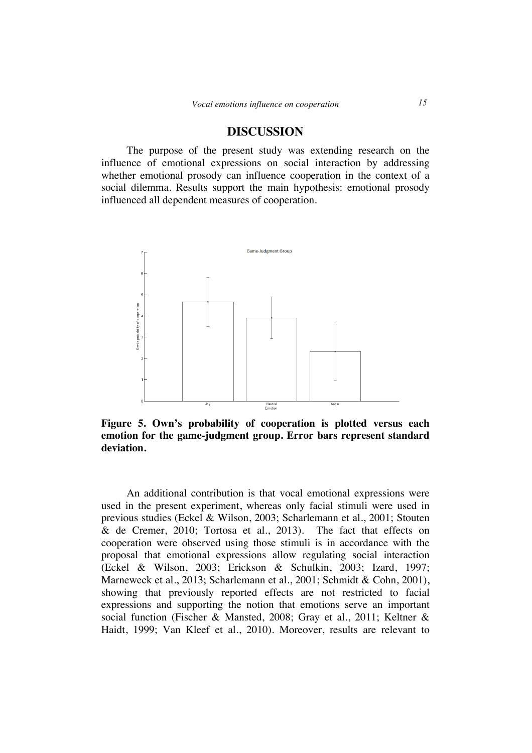# **DISCUSSION**

The purpose of the present study was extending research on the influence of emotional expressions on social interaction by addressing whether emotional prosody can influence cooperation in the context of a social dilemma. Results support the main hypothesis: emotional prosody influenced all dependent measures of cooperation.



**Figure 5. Own's probability of cooperation is plotted versus each emotion for the game-judgment group. Error bars represent standard deviation.**

An additional contribution is that vocal emotional expressions were used in the present experiment, whereas only facial stimuli were used in previous studies (Eckel & Wilson, 2003; Scharlemann et al., 2001; Stouten & de Cremer, 2010; Tortosa et al., 2013). The fact that effects on cooperation were observed using those stimuli is in accordance with the proposal that emotional expressions allow regulating social interaction (Eckel & Wilson, 2003; Erickson & Schulkin, 2003; Izard, 1997; Marneweck et al., 2013; Scharlemann et al., 2001; Schmidt & Cohn, 2001), showing that previously reported effects are not restricted to facial expressions and supporting the notion that emotions serve an important social function (Fischer & Mansted, 2008; Gray et al., 2011; Keltner & Haidt, 1999; Van Kleef et al., 2010). Moreover, results are relevant to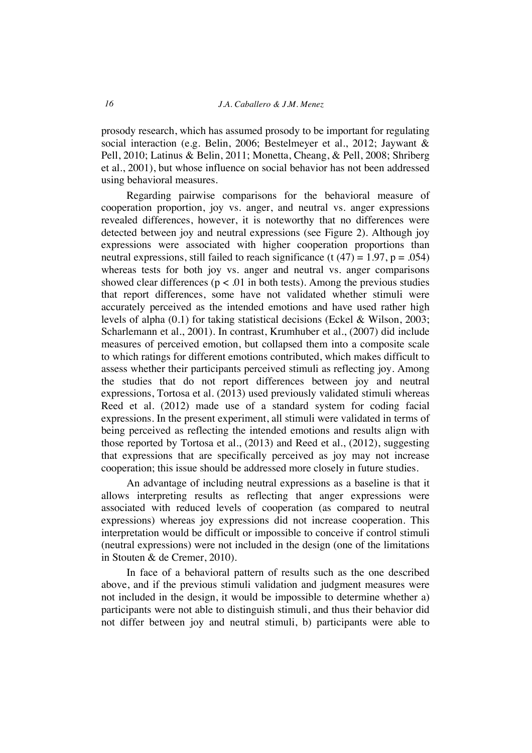prosody research, which has assumed prosody to be important for regulating social interaction (e.g. Belin, 2006; Bestelmeyer et al., 2012; Jaywant & Pell, 2010; Latinus & Belin, 2011; Monetta, Cheang, & Pell, 2008; Shriberg et al., 2001), but whose influence on social behavior has not been addressed using behavioral measures.

Regarding pairwise comparisons for the behavioral measure of cooperation proportion, joy vs. anger, and neutral vs. anger expressions revealed differences, however, it is noteworthy that no differences were detected between joy and neutral expressions (see Figure 2). Although joy expressions were associated with higher cooperation proportions than neutral expressions, still failed to reach significance (t  $(47) = 1.97$ , p = .054) whereas tests for both joy vs. anger and neutral vs. anger comparisons showed clear differences ( $p < .01$  in both tests). Among the previous studies that report differences, some have not validated whether stimuli were accurately perceived as the intended emotions and have used rather high levels of alpha (0.1) for taking statistical decisions (Eckel & Wilson, 2003; Scharlemann et al., 2001). In contrast, Krumhuber et al., (2007) did include measures of perceived emotion, but collapsed them into a composite scale to which ratings for different emotions contributed, which makes difficult to assess whether their participants perceived stimuli as reflecting joy. Among the studies that do not report differences between joy and neutral expressions, Tortosa et al. (2013) used previously validated stimuli whereas Reed et al. (2012) made use of a standard system for coding facial expressions. In the present experiment, all stimuli were validated in terms of being perceived as reflecting the intended emotions and results align with those reported by Tortosa et al., (2013) and Reed et al., (2012), suggesting that expressions that are specifically perceived as joy may not increase cooperation; this issue should be addressed more closely in future studies.

An advantage of including neutral expressions as a baseline is that it allows interpreting results as reflecting that anger expressions were associated with reduced levels of cooperation (as compared to neutral expressions) whereas joy expressions did not increase cooperation. This interpretation would be difficult or impossible to conceive if control stimuli (neutral expressions) were not included in the design (one of the limitations in Stouten & de Cremer, 2010).

In face of a behavioral pattern of results such as the one described above, and if the previous stimuli validation and judgment measures were not included in the design, it would be impossible to determine whether a) participants were not able to distinguish stimuli, and thus their behavior did not differ between joy and neutral stimuli, b) participants were able to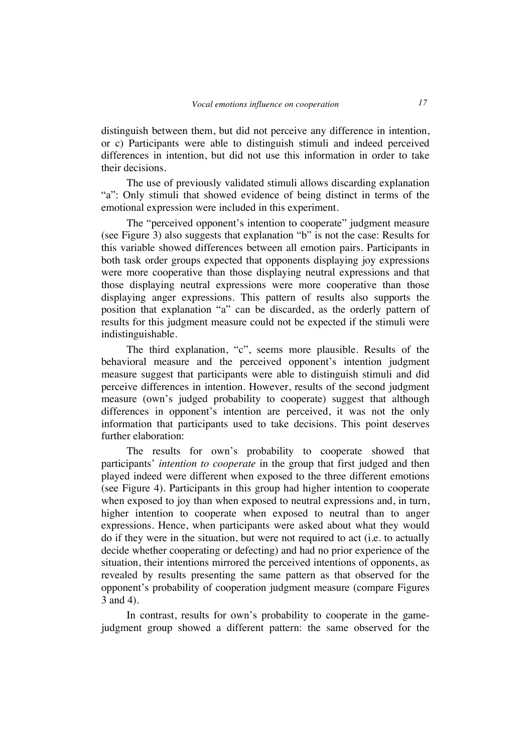distinguish between them, but did not perceive any difference in intention, or c) Participants were able to distinguish stimuli and indeed perceived differences in intention, but did not use this information in order to take their decisions.

The use of previously validated stimuli allows discarding explanation "a": Only stimuli that showed evidence of being distinct in terms of the emotional expression were included in this experiment.

The "perceived opponent's intention to cooperate" judgment measure (see Figure 3) also suggests that explanation "b" is not the case: Results for this variable showed differences between all emotion pairs. Participants in both task order groups expected that opponents displaying joy expressions were more cooperative than those displaying neutral expressions and that those displaying neutral expressions were more cooperative than those displaying anger expressions. This pattern of results also supports the position that explanation "a" can be discarded, as the orderly pattern of results for this judgment measure could not be expected if the stimuli were indistinguishable.

The third explanation, "c", seems more plausible. Results of the behavioral measure and the perceived opponent's intention judgment measure suggest that participants were able to distinguish stimuli and did perceive differences in intention. However, results of the second judgment measure (own's judged probability to cooperate) suggest that although differences in opponent's intention are perceived, it was not the only information that participants used to take decisions. This point deserves further elaboration:

The results for own's probability to cooperate showed that participants' *intention to cooperate* in the group that first judged and then played indeed were different when exposed to the three different emotions (see Figure 4). Participants in this group had higher intention to cooperate when exposed to joy than when exposed to neutral expressions and, in turn, higher intention to cooperate when exposed to neutral than to anger expressions. Hence, when participants were asked about what they would do if they were in the situation, but were not required to act (i.e. to actually decide whether cooperating or defecting) and had no prior experience of the situation, their intentions mirrored the perceived intentions of opponents, as revealed by results presenting the same pattern as that observed for the opponent's probability of cooperation judgment measure (compare Figures 3 and 4).

In contrast, results for own's probability to cooperate in the gamejudgment group showed a different pattern: the same observed for the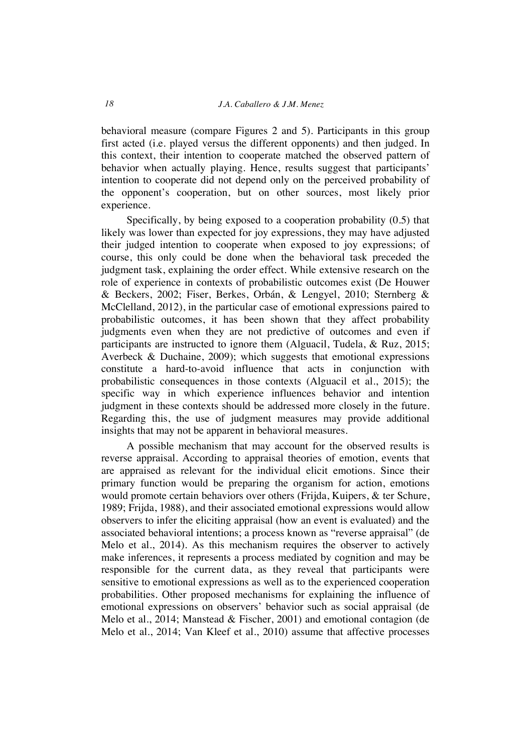behavioral measure (compare Figures 2 and 5). Participants in this group first acted (i.e. played versus the different opponents) and then judged. In this context, their intention to cooperate matched the observed pattern of behavior when actually playing. Hence, results suggest that participants' intention to cooperate did not depend only on the perceived probability of the opponent's cooperation, but on other sources, most likely prior experience.

Specifically, by being exposed to a cooperation probability (0.5) that likely was lower than expected for joy expressions, they may have adjusted their judged intention to cooperate when exposed to joy expressions; of course, this only could be done when the behavioral task preceded the judgment task, explaining the order effect. While extensive research on the role of experience in contexts of probabilistic outcomes exist (De Houwer & Beckers, 2002; Fiser, Berkes, Orbán, & Lengyel, 2010; Sternberg & McClelland, 2012), in the particular case of emotional expressions paired to probabilistic outcomes, it has been shown that they affect probability judgments even when they are not predictive of outcomes and even if participants are instructed to ignore them (Alguacil, Tudela, & Ruz, 2015; Averbeck & Duchaine, 2009); which suggests that emotional expressions constitute a hard-to-avoid influence that acts in conjunction with probabilistic consequences in those contexts (Alguacil et al., 2015); the specific way in which experience influences behavior and intention judgment in these contexts should be addressed more closely in the future. Regarding this, the use of judgment measures may provide additional insights that may not be apparent in behavioral measures.

A possible mechanism that may account for the observed results is reverse appraisal. According to appraisal theories of emotion, events that are appraised as relevant for the individual elicit emotions. Since their primary function would be preparing the organism for action, emotions would promote certain behaviors over others (Frijda, Kuipers, & ter Schure, 1989; Frijda, 1988), and their associated emotional expressions would allow observers to infer the eliciting appraisal (how an event is evaluated) and the associated behavioral intentions; a process known as "reverse appraisal" (de Melo et al., 2014). As this mechanism requires the observer to actively make inferences, it represents a process mediated by cognition and may be responsible for the current data, as they reveal that participants were sensitive to emotional expressions as well as to the experienced cooperation probabilities. Other proposed mechanisms for explaining the influence of emotional expressions on observers' behavior such as social appraisal (de Melo et al., 2014; Manstead & Fischer, 2001) and emotional contagion (de Melo et al., 2014; Van Kleef et al., 2010) assume that affective processes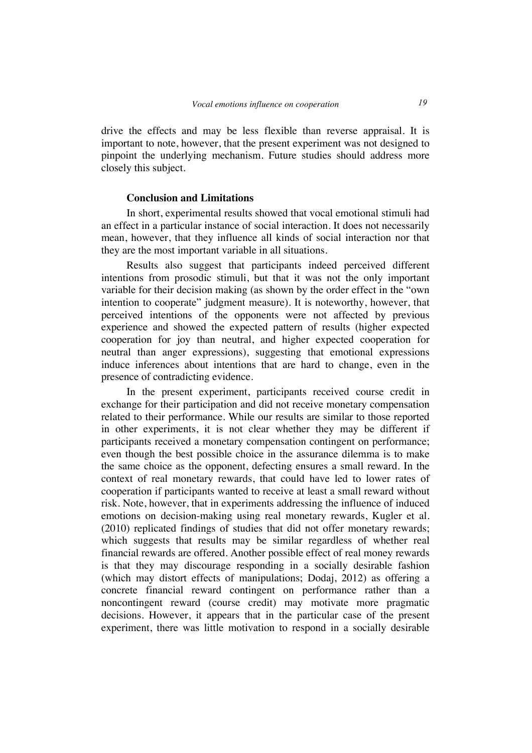drive the effects and may be less flexible than reverse appraisal. It is important to note, however, that the present experiment was not designed to pinpoint the underlying mechanism. Future studies should address more closely this subject.

#### **Conclusion and Limitations**

In short, experimental results showed that vocal emotional stimuli had an effect in a particular instance of social interaction. It does not necessarily mean, however, that they influence all kinds of social interaction nor that they are the most important variable in all situations.

Results also suggest that participants indeed perceived different intentions from prosodic stimuli, but that it was not the only important variable for their decision making (as shown by the order effect in the "own intention to cooperate" judgment measure). It is noteworthy, however, that perceived intentions of the opponents were not affected by previous experience and showed the expected pattern of results (higher expected cooperation for joy than neutral, and higher expected cooperation for neutral than anger expressions), suggesting that emotional expressions induce inferences about intentions that are hard to change, even in the presence of contradicting evidence.

In the present experiment, participants received course credit in exchange for their participation and did not receive monetary compensation related to their performance. While our results are similar to those reported in other experiments, it is not clear whether they may be different if participants received a monetary compensation contingent on performance; even though the best possible choice in the assurance dilemma is to make the same choice as the opponent, defecting ensures a small reward. In the context of real monetary rewards, that could have led to lower rates of cooperation if participants wanted to receive at least a small reward without risk. Note, however, that in experiments addressing the influence of induced emotions on decision-making using real monetary rewards, Kugler et al. (2010) replicated findings of studies that did not offer monetary rewards; which suggests that results may be similar regardless of whether real financial rewards are offered. Another possible effect of real money rewards is that they may discourage responding in a socially desirable fashion (which may distort effects of manipulations; Dodaj, 2012) as offering a concrete financial reward contingent on performance rather than a noncontingent reward (course credit) may motivate more pragmatic decisions. However, it appears that in the particular case of the present experiment, there was little motivation to respond in a socially desirable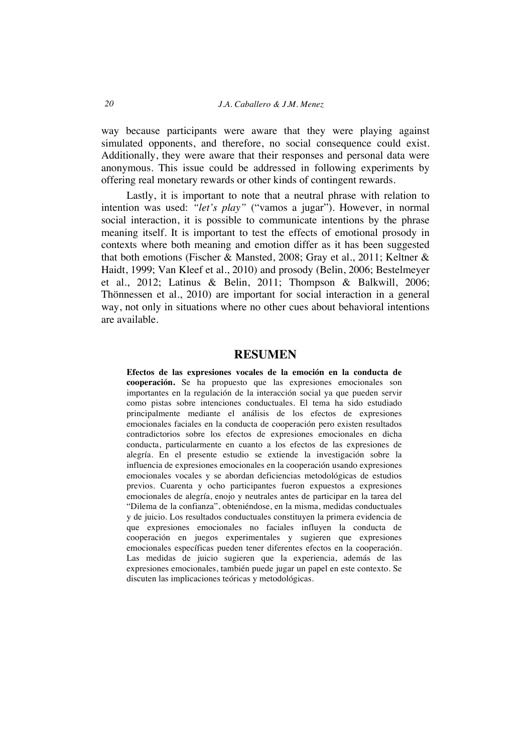way because participants were aware that they were playing against simulated opponents, and therefore, no social consequence could exist. Additionally, they were aware that their responses and personal data were anonymous. This issue could be addressed in following experiments by offering real monetary rewards or other kinds of contingent rewards.

Lastly, it is important to note that a neutral phrase with relation to intention was used: *"let's play"* ("vamos a jugar"). However, in normal social interaction, it is possible to communicate intentions by the phrase meaning itself. It is important to test the effects of emotional prosody in contexts where both meaning and emotion differ as it has been suggested that both emotions (Fischer & Mansted, 2008; Gray et al., 2011; Keltner & Haidt, 1999; Van Kleef et al., 2010) and prosody (Belin, 2006; Bestelmeyer et al., 2012; Latinus & Belin, 2011; Thompson & Balkwill, 2006; Thönnessen et al., 2010) are important for social interaction in a general way, not only in situations where no other cues about behavioral intentions are available.

### **RESUMEN**

**Efectos de las expresiones vocales de la emoción en la conducta de cooperación.** Se ha propuesto que las expresiones emocionales son importantes en la regulación de la interacción social ya que pueden servir como pistas sobre intenciones conductuales. El tema ha sido estudiado principalmente mediante el análisis de los efectos de expresiones emocionales faciales en la conducta de cooperación pero existen resultados contradictorios sobre los efectos de expresiones emocionales en dicha conducta, particularmente en cuanto a los efectos de las expresiones de alegría. En el presente estudio se extiende la investigación sobre la influencia de expresiones emocionales en la cooperación usando expresiones emocionales vocales y se abordan deficiencias metodológicas de estudios previos. Cuarenta y ocho participantes fueron expuestos a expresiones emocionales de alegría, enojo y neutrales antes de participar en la tarea del "Dilema de la confianza", obteniéndose, en la misma, medidas conductuales y de juicio. Los resultados conductuales constituyen la primera evidencia de que expresiones emocionales no faciales influyen la conducta de cooperación en juegos experimentales y sugieren que expresiones emocionales específicas pueden tener diferentes efectos en la cooperación. Las medidas de juicio sugieren que la experiencia, además de las expresiones emocionales, también puede jugar un papel en este contexto. Se discuten las implicaciones teóricas y metodológicas.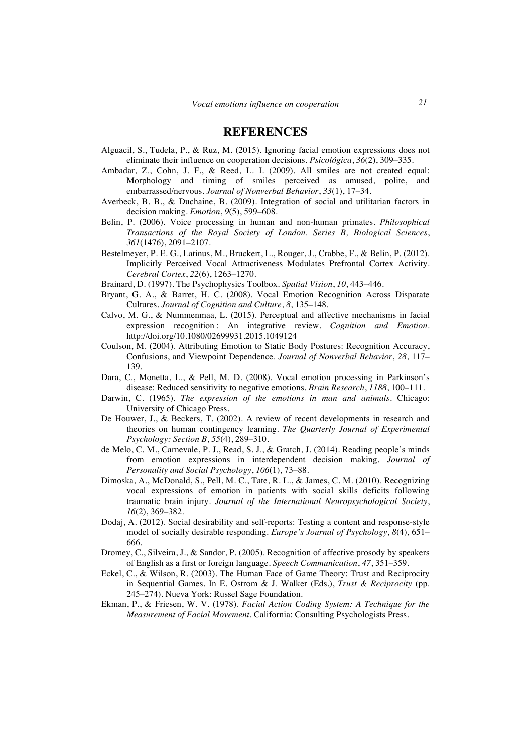# **REFERENCES**

- Alguacil, S., Tudela, P., & Ruz, M. (2015). Ignoring facial emotion expressions does not eliminate their influence on cooperation decisions. *Psicológica*, *36*(2), 309–335.
- Ambadar, Z., Cohn, J. F., & Reed, L. I. (2009). All smiles are not created equal: Morphology and timing of smiles perceived as amused, polite, and embarrassed/nervous. *Journal of Nonverbal Behavior*, *33*(1), 17–34.
- Averbeck, B. B., & Duchaine, B. (2009). Integration of social and utilitarian factors in decision making. *Emotion*, *9*(5), 599–608.
- Belin, P. (2006). Voice processing in human and non-human primates. *Philosophical Transactions of the Royal Society of London. Series B, Biological Sciences*, *361*(1476), 2091–2107.
- Bestelmeyer, P. E. G., Latinus, M., Bruckert, L., Rouger, J., Crabbe, F., & Belin, P. (2012). Implicitly Perceived Vocal Attractiveness Modulates Prefrontal Cortex Activity. *Cerebral Cortex*, *22*(6), 1263–1270.
- Brainard, D. (1997). The Psychophysics Toolbox. *Spatial Vision*, *10*, 443–446.
- Bryant, G. A., & Barret, H. C. (2008). Vocal Emotion Recognition Across Disparate Cultures. *Journal of Cognition and Culture*, *8*, 135–148.
- Calvo, M. G., & Nummenmaa, L. (2015). Perceptual and affective mechanisms in facial expression recognition: An integrative review. *Cognition and Emotion*. http://doi.org/10.1080/02699931.2015.1049124
- Coulson, M. (2004). Attributing Emotion to Static Body Postures: Recognition Accuracy, Confusions, and Viewpoint Dependence. *Journal of Nonverbal Behavior*, *28*, 117– 139.
- Dara, C., Monetta, L., & Pell, M. D. (2008). Vocal emotion processing in Parkinson's disease: Reduced sensitivity to negative emotions. *Brain Research*, *1188*, 100–111.
- Darwin, C. (1965). *The expression of the emotions in man and animals.* Chicago: University of Chicago Press.
- De Houwer, J., & Beckers, T. (2002). A review of recent developments in research and theories on human contingency learning. *The Quarterly Journal of Experimental Psychology: Section B*, *55*(4), 289–310.
- de Melo, C. M., Carnevale, P. J., Read, S. J., & Gratch, J. (2014). Reading people's minds from emotion expressions in interdependent decision making. *Journal of Personality and Social Psychology*, *106*(1), 73–88.
- Dimoska, A., McDonald, S., Pell, M. C., Tate, R. L., & James, C. M. (2010). Recognizing vocal expressions of emotion in patients with social skills deficits following traumatic brain injury. *Journal of the International Neuropsychological Society*, *16*(2), 369–382.
- Dodaj, A. (2012). Social desirability and self-reports: Testing a content and response-style model of socially desirable responding. *Europe's Journal of Psychology*, *8*(4), 651– 666.
- Dromey, C., Silveira, J., & Sandor, P. (2005). Recognition of affective prosody by speakers of English as a first or foreign language. *Speech Communication*, *47*, 351–359.
- Eckel, C., & Wilson, R. (2003). The Human Face of Game Theory: Trust and Reciprocity in Sequential Games. In E. Ostrom & J. Walker (Eds.), *Trust & Reciprocity* (pp. 245–274). Nueva York: Russel Sage Foundation.
- Ekman, P., & Friesen, W. V. (1978). *Facial Action Coding System: A Technique for the Measurement of Facial Movement*. California: Consulting Psychologists Press.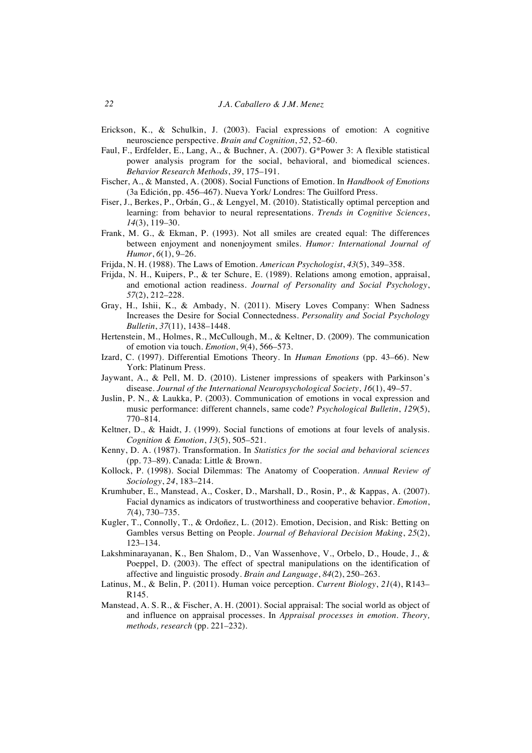- Erickson, K., & Schulkin, J. (2003). Facial expressions of emotion: A cognitive neuroscience perspective. *Brain and Cognition*, *52*, 52–60.
- Faul, F., Erdfelder, E., Lang, A., & Buchner, A. (2007). G\*Power 3: A flexible statistical power analysis program for the social, behavioral, and biomedical sciences. *Behavior Research Methods*, *39*, 175–191.
- Fischer, A., & Mansted, A. (2008). Social Functions of Emotion. In *Handbook of Emotions* (3a Edición, pp. 456–467). Nueva York/ Londres: The Guilford Press.
- Fiser, J., Berkes, P., Orbán, G., & Lengyel, M. (2010). Statistically optimal perception and learning: from behavior to neural representations. *Trends in Cognitive Sciences*, *14*(3), 119–30.
- Frank, M. G., & Ekman, P. (1993). Not all smiles are created equal: The differences between enjoyment and nonenjoyment smiles. *Humor: International Journal of Humor*, *6*(1), 9–26.
- Frijda, N. H. (1988). The Laws of Emotion. *American Psychologist*, *43*(5), 349–358.
- Frijda, N. H., Kuipers, P., & ter Schure, E. (1989). Relations among emotion, appraisal, and emotional action readiness. *Journal of Personality and Social Psychology*, *57*(2), 212–228.
- Gray, H., Ishii, K., & Ambady, N. (2011). Misery Loves Company: When Sadness Increases the Desire for Social Connectedness. *Personality and Social Psychology Bulletin*, *37*(11), 1438–1448.
- Hertenstein, M., Holmes, R., McCullough, M., & Keltner, D. (2009). The communication of emotion via touch. *Emotion*, *9*(4), 566–573.
- Izard, C. (1997). Differential Emotions Theory. In *Human Emotions* (pp. 43–66). New York: Platinum Press.
- Jaywant, A., & Pell, M. D. (2010). Listener impressions of speakers with Parkinson's disease. *Journal of the International Neuropsychological Society*, *16*(1), 49–57.
- Juslin, P. N., & Laukka, P. (2003). Communication of emotions in vocal expression and music performance: different channels, same code? *Psychological Bulletin*, *129*(5), 770–814.
- Keltner, D., & Haidt, J. (1999). Social functions of emotions at four levels of analysis. *Cognition & Emotion*, *13*(5), 505–521.
- Kenny, D. A. (1987). Transformation. In *Statistics for the social and behavioral sciences* (pp. 73–89). Canada: Little & Brown.
- Kollock, P. (1998). Social Dilemmas: The Anatomy of Cooperation. *Annual Review of Sociology*, *24*, 183–214.
- Krumhuber, E., Manstead, A., Cosker, D., Marshall, D., Rosin, P., & Kappas, A. (2007). Facial dynamics as indicators of trustworthiness and cooperative behavior. *Emotion*, *7*(4), 730–735.
- Kugler, T., Connolly, T., & Ordoñez, L. (2012). Emotion, Decision, and Risk: Betting on Gambles versus Betting on People. *Journal of Behavioral Decision Making*, *25*(2), 123–134.
- Lakshminarayanan, K., Ben Shalom, D., Van Wassenhove, V., Orbelo, D., Houde, J., & Poeppel, D. (2003). The effect of spectral manipulations on the identification of affective and linguistic prosody. *Brain and Language*, *84*(2), 250–263.
- Latinus, M., & Belin, P. (2011). Human voice perception. *Current Biology*, *21*(4), R143– R145.
- Manstead, A. S. R., & Fischer, A. H. (2001). Social appraisal: The social world as object of and influence on appraisal processes. In *Appraisal processes in emotion. Theory, methods, research* (pp. 221–232).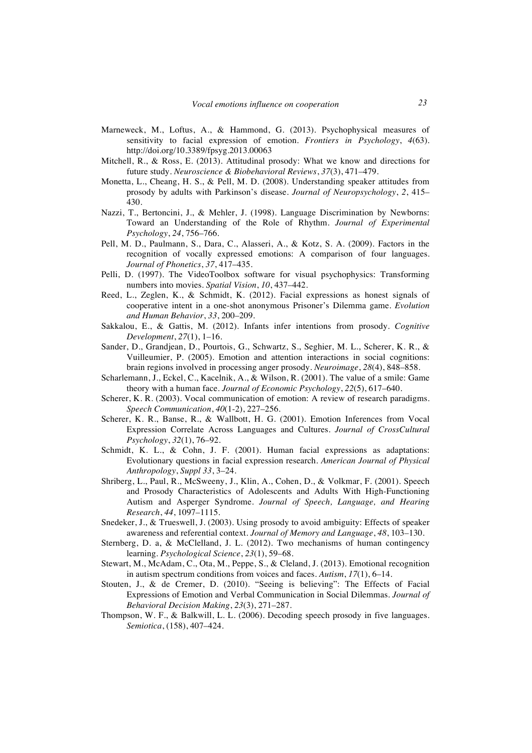- Marneweck, M., Loftus, A., & Hammond, G. (2013). Psychophysical measures of sensitivity to facial expression of emotion. *Frontiers in Psychology*, *4*(63). http://doi.org/10.3389/fpsyg.2013.00063
- Mitchell, R., & Ross, E. (2013). Attitudinal prosody: What we know and directions for future study. *Neuroscience & Biobehavioral Reviews*, *37*(3), 471–479.
- Monetta, L., Cheang, H. S., & Pell, M. D. (2008). Understanding speaker attitudes from prosody by adults with Parkinson's disease. *Journal of Neuropsychology*, *2*, 415– 430.
- Nazzi, T., Bertoncini, J., & Mehler, J. (1998). Language Discrimination by Newborns: Toward an Understanding of the Role of Rhythm. *Journal of Experimental Psychology*, *24*, 756–766.
- Pell, M. D., Paulmann, S., Dara, C., Alasseri, A., & Kotz, S. A. (2009). Factors in the recognition of vocally expressed emotions: A comparison of four languages. *Journal of Phonetics*, *37*, 417–435.
- Pelli, D. (1997). The VideoToolbox software for visual psychophysics: Transforming numbers into movies. *Spatial Vision*, *10*, 437–442.
- Reed, L., Zeglen, K., & Schmidt, K. (2012). Facial expressions as honest signals of cooperative intent in a one-shot anonymous Prisoner's Dilemma game. *Evolution and Human Behavior*, *33*, 200–209.
- Sakkalou, E., & Gattis, M. (2012). Infants infer intentions from prosody. *Cognitive Development*, *27*(1), 1–16.
- Sander, D., Grandjean, D., Pourtois, G., Schwartz, S., Seghier, M. L., Scherer, K. R., & Vuilleumier, P. (2005). Emotion and attention interactions in social cognitions: brain regions involved in processing anger prosody. *Neuroimage*, *28*(4), 848–858.
- Scharlemann, J., Eckel, C., Kacelnik, A., & Wilson, R. (2001). The value of a smile: Game theory with a human face. *Journal of Economic Psychology*, *22*(5), 617–640.
- Scherer, K. R. (2003). Vocal communication of emotion: A review of research paradigms. *Speech Communication*, *40*(1-2), 227–256.
- Scherer, K. R., Banse, R., & Wallbott, H. G. (2001). Emotion Inferences from Vocal Expression Correlate Across Languages and Cultures. *Journal of CrossCultural Psychology*, *32*(1), 76–92.
- Schmidt, K. L., & Cohn, J. F. (2001). Human facial expressions as adaptations: Evolutionary questions in facial expression research. *American Journal of Physical Anthropology*, *Suppl 33*, 3–24.
- Shriberg, L., Paul, R., McSweeny, J., Klin, A., Cohen, D., & Volkmar, F. (2001). Speech and Prosody Characteristics of Adolescents and Adults With High-Functioning Autism and Asperger Syndrome. *Journal of Speech, Language, and Hearing Research*, *44*, 1097–1115.
- Snedeker, J., & Trueswell, J. (2003). Using prosody to avoid ambiguity: Effects of speaker awareness and referential context. *Journal of Memory and Language*, *48*, 103–130.
- Sternberg, D. a, & McClelland, J. L. (2012). Two mechanisms of human contingency learning. *Psychological Science*, *23*(1), 59–68.
- Stewart, M., McAdam, C., Ota, M., Peppe, S., & Cleland, J. (2013). Emotional recognition in autism spectrum conditions from voices and faces. *Autism*, *17*(1), 6–14.
- Stouten, J., & de Cremer, D. (2010). "Seeing is believing": The Effects of Facial Expressions of Emotion and Verbal Communication in Social Dilemmas. *Journal of Behavioral Decision Making*, *23*(3), 271–287.
- Thompson, W. F., & Balkwill, L. L. (2006). Decoding speech prosody in five languages. *Semiotica*, (158), 407–424.